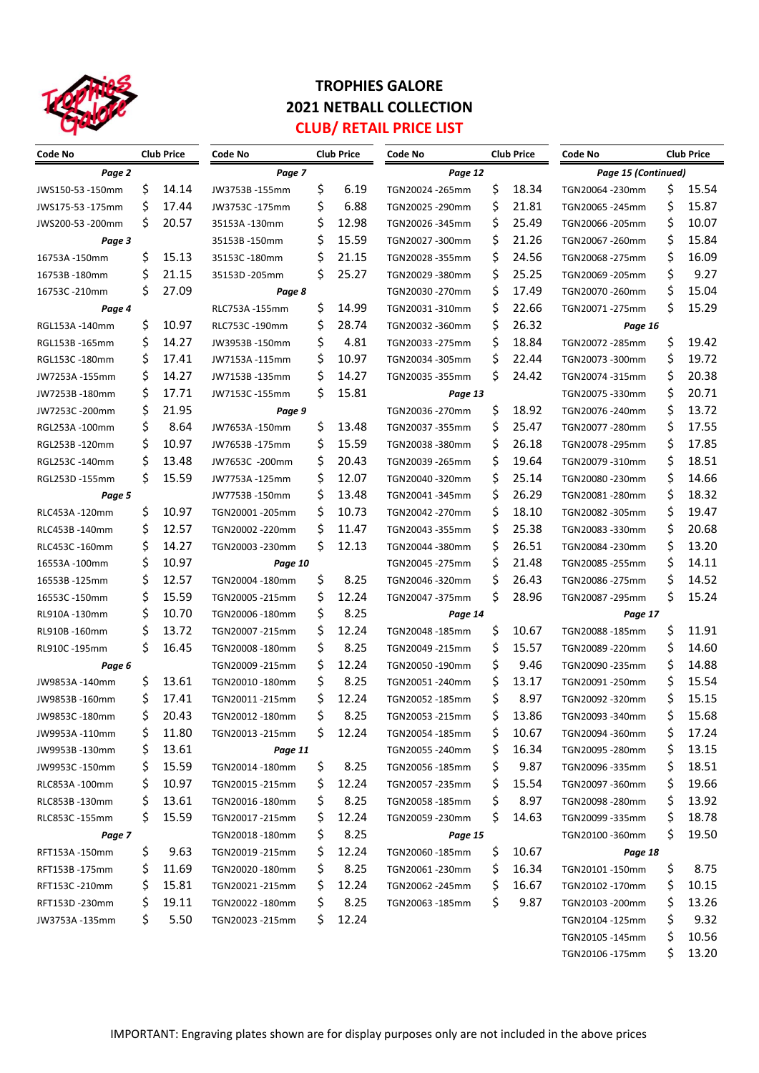

## **TROPHIES GALORE 2021 NETBALL COLLECTION CLUB/ RETAIL PRICE LIST**

| <b>Club Price</b><br>Code No |     | <b>Club Price</b><br>Code No |                  |       | Code No<br><b>Club Price</b> |                  |       | <b>Code No</b><br><b>Club Price</b> |                           |       |       |
|------------------------------|-----|------------------------------|------------------|-------|------------------------------|------------------|-------|-------------------------------------|---------------------------|-------|-------|
| Page 2                       |     |                              | Page 7           |       |                              | Page 12          |       |                                     | Page 15 (Continued)       |       |       |
| JWS150-53 -150mm             | \$  | 14.14                        | JW3753B-155mm    | \$    | 6.19                         | TGN20024 - 265mm | \$    | 18.34                               | TGN20064 -230mm           | \$    | 15.54 |
| JWS175-53 -175mm             | \$  | 17.44                        | JW3753C-175mm    | \$    | 6.88                         | TGN20025 - 290mm | \$    | 21.81                               | TGN20065 - 245mm          | \$    | 15.87 |
| JWS200-53 -200mm             | \$  | 20.57                        | 35153A -130mm    | \$    | 12.98                        | TGN20026-345mm   | \$    | 25.49                               | TGN20066 - 205mm          | \$    | 10.07 |
| Page 3                       |     |                              | 35153B-150mm     | \$    | 15.59                        | TGN20027 -300mm  | \$    | 21.26                               | TGN20067-260mm            | \$    | 15.84 |
| 16753A-150mm                 | \$  | 15.13                        | 35153C-180mm     | \$    | 21.15                        | TGN20028-355mm   | \$    | 24.56                               | TGN20068-275mm            | \$    | 16.09 |
| 16753B-180mm                 | \$  | 21.15                        | 35153D -205mm    | \$    | 25.27                        | TGN20029-380mm   | Ś     | 25.25                               | TGN20069 - 205mm          | \$    | 9.27  |
| 16753C-210mm                 | \$  | 27.09                        | Page 8           |       |                              | TGN20030-270mm   | \$    | 17.49                               | TGN20070-260mm            | \$    | 15.04 |
| Page 4                       |     | RLC753A-155mm                | \$               | 14.99 | TGN20031-310mm               | \$               | 22.66 | TGN20071-275mm                      | \$                        | 15.29 |       |
| RGL153A -140mm               | \$  | 10.97                        | RLC753C-190mm    | \$    | 28.74                        | TGN20032 -360mm  | \$    | 26.32                               | Page 16                   |       |       |
| RGL153B-165mm                | \$  | 14.27                        | JW3953B-150mm    | \$    | 4.81                         | TGN20033 -275mm  | \$    | 18.84                               | TGN20072 - 285mm          | \$    | 19.42 |
|                              | \$  | 17.41                        |                  | \$    | 10.97                        | TGN20034 -305mm  | \$    | 22.44                               | TGN20073-300mm            | \$    | 19.72 |
| RGL153C -180mm               | \$  | 14.27                        | JW7153A -115mm   | \$    | 14.27                        |                  | \$    | 24.42                               |                           | \$    | 20.38 |
| JW7253A -155mm               | \$  | 17.71                        | JW7153B-135mm    |       |                              | TGN20035 -355mm  |       |                                     | TGN20074-315mm            | \$    | 20.71 |
| JW7253B-180mm                |     |                              | JW7153C -155mm   | \$    | 15.81                        | Page 13          |       |                                     | TGN20075-330mm            |       |       |
| JW7253C-200mm                | \$  | 21.95                        | Page 9           |       |                              | TGN20036 -270mm  | \$    | 18.92                               | TGN20076-240mm            | \$    | 13.72 |
| RGL253A-100mm                | \$  | 8.64                         | JW7653A-150mm    | \$    | 13.48                        | TGN20037-355mm   | \$    | 25.47                               | TGN20077-280mm            | \$    | 17.55 |
| RGL253B-120mm                | \$  | 10.97                        | JW7653B-175mm    | \$    | 15.59                        | TGN20038-380mm   | \$    | 26.18                               | TGN20078-295mm            | \$    | 17.85 |
| RGL253C -140mm               | \$  | 13.48                        | JW7653C -200mm   | \$    | 20.43                        | TGN20039 - 265mm | \$    | 19.64                               | TGN20079-310mm            | \$    | 18.51 |
| RGL253D -155mm               | \$  | 15.59                        | JW7753A-125mm    | \$    | 12.07                        | TGN20040-320mm   | \$    | 25.14                               | TGN20080-230mm            | \$    | 14.66 |
| Page 5                       |     |                              | JW7753B-150mm    | \$    | 13.48                        | TGN20041-345mm   | \$    | 26.29                               | TGN20081-280mm            | \$    | 18.32 |
| RLC453A-120mm                | \$  | 10.97                        | TGN20001-205mm   | \$    | 10.73                        | TGN20042 -270mm  | \$    | 18.10                               | TGN20082-305mm            | \$    | 19.47 |
| RLC453B-140mm                | \$  | 12.57                        | TGN20002 -220mm  | \$    | 11.47                        | TGN20043 -355mm  | \$    | 25.38                               | TGN20083-330mm            | \$    | 20.68 |
| RLC453C-160mm                | \$  | 14.27                        | TGN20003 -230mm  | \$    | 12.13                        | TGN20044 -380mm  | \$    | 26.51                               | TGN20084 -230mm           | \$    | 13.20 |
| 16553A-100mm                 | \$  | 10.97                        | Page 10          |       |                              | TGN20045 - 275mm | \$    | 21.48                               | TGN20085 - 255mm          | \$    | 14.11 |
| 16553B-125mm                 | \$  | 12.57                        | TGN20004 -180mm  | \$    | 8.25                         | TGN20046-320mm   | \$    | 26.43                               | TGN20086-275mm            | \$    | 14.52 |
| 16553C-150mm                 | \$  | 15.59                        | TGN20005 - 215mm | \$    | 12.24                        | TGN20047-375mm   | \$    | 28.96                               | TGN20087-295mm            | \$    | 15.24 |
| RL910A -130mm                | \$  | 10.70                        | TGN20006 -180mm  | \$    | 8.25                         | Page 14          |       |                                     | Page 17                   |       |       |
| RL910B-160mm                 | \$  | 13.72                        | TGN20007 - 215mm | \$    | 12.24                        | TGN20048-185mm   | \$    | 10.67                               | TGN20088-185mm            | \$    | 11.91 |
| RL910C -195mm                | \$  | 16.45                        | TGN20008 -180mm  | \$    | 8.25                         | TGN20049 -215mm  | \$    | 15.57                               | TGN20089-220mm            | \$    | 14.60 |
| Page 6                       |     | TGN20009 -215mm              | \$               | 12.24 | TGN20050-190mm               | \$               | 9.46  | TGN20090 - 235mm                    | \$                        | 14.88 |       |
| JW9853A-140mm                | \$  | 13.61                        | TGN20010-180mm   | \$    | 8.25                         | TGN20051-240mm   | \$    | 13.17                               | TGN20091-250mm            | \$    | 15.54 |
| JW9853B-160mm                | Ś   | 17.41                        | TGN20011-215mm   | \$    | 12.24                        | TGN20052 -185mm  | \$    | 8.97                                | TGN20092 -320mm           | \$    | 15.15 |
| JW9853C-180mm                | Ş   | 20.43                        | TGN20012 -180mm  | Ş     | 8.25                         | TGN20053-215mm   | Ş     | 13.86                               | TGN20093 -340mm           | Ş     | 15.68 |
| JW9953A-110mm                | Ş   | 11.80                        | TGN20013 -215mm  | \$    | 12.24                        | TGN20054 -185mm  | Ş     | 10.67                               | TGN20094 -360mm           | Ş     | 17.24 |
| JW9953B-130mm                | Ş   | 13.61                        | Page 11          |       |                              | TGN20055 -240mm  | \$    | 16.34                               | TGN20095 - 280mm          | \$    | 13.15 |
| JW9953C-150mm                | \$  | 15.59                        | TGN20014 -180mm  | \$    | 8.25                         | TGN20056-185mm   | \$    | 9.87                                | TGN20096 -335mm           | \$    | 18.51 |
| RLC853A-100mm                | \$  | 10.97                        | TGN20015 -215mm  | \$    | 12.24                        | TGN20057 -235mm  | \$    | 15.54                               | TGN20097 -360mm           | \$    | 19.66 |
| RLC853B-130mm                | \$  | 13.61                        | TGN20016 -180mm  | \$    | 8.25                         | TGN20058 -185mm  | \$    | 8.97                                | TGN20098 -280mm           | \$    | 13.92 |
| RLC853C-155mm                | \$, | 15.59                        | TGN20017 -215mm  | Ş     | 12.24                        | TGN20059 -230mm  | \$.   | 14.63                               | TGN20099 -335mm           | \$    | 18.78 |
| Page 7                       |     |                              | TGN20018-180mm   | \$    | 8.25                         | Page 15          |       |                                     | TGN20100 -360mm           | \$.   | 19.50 |
| RFT153A-150mm                | \$  | 9.63                         | TGN20019 -215mm  | \$    | 12.24                        | TGN20060-185mm   | \$    | 10.67                               |                           |       |       |
| RFT153B-175mm                | Ş   | 11.69                        |                  | \$    | 8.25                         | TGN20061-230mm   | \$    | 16.34                               | Page 18<br>TGN20101-150mm | \$    | 8.75  |
|                              |     |                              | TGN20020 -180mm  |       |                              |                  |       |                                     |                           |       |       |
| RFT153C-210mm                | \$  | 15.81                        | TGN20021-215mm   | \$    | 12.24                        | TGN20062 -245mm  | Ş     | 16.67                               | TGN20102 -170mm           | \$    | 10.15 |
| RFT153D-230mm                | \$  | 19.11                        | TGN20022 -180mm  | \$    | 8.25                         | TGN20063 -185mm  | \$    | 9.87                                | TGN20103 -200mm           | \$    | 13.26 |
| JW3753A -135mm               | \$  | 5.50                         | TGN20023 -215mm  | S     | 12.24                        |                  |       |                                     | TGN20104 -125mm           | \$    | 9.32  |
|                              |     |                              |                  |       |                              |                  |       |                                     | TGN20105 -145mm           | \$    | 10.56 |
|                              |     |                              |                  |       |                              |                  |       |                                     | TGN20106 -175mm           | \$.   | 13.20 |